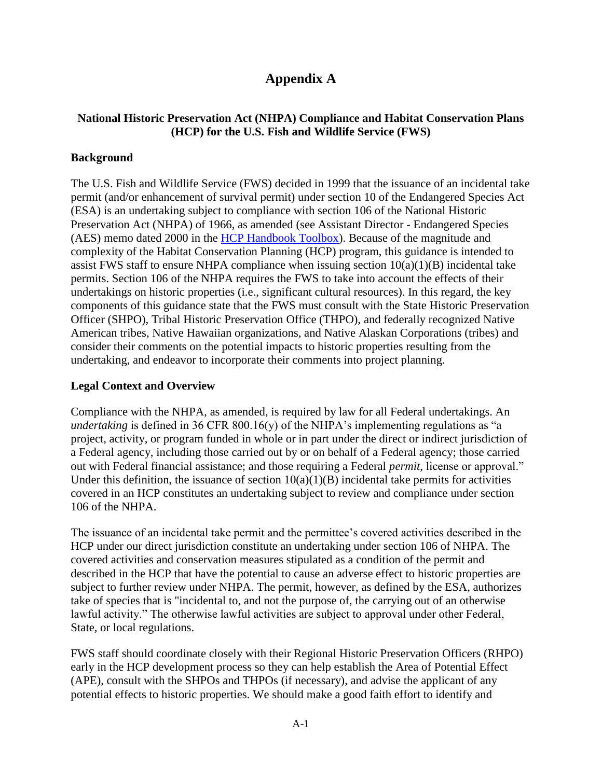# **Appendix A**

## **National Historic Preservation Act (NHPA) Compliance and Habitat Conservation Plans (HCP) for the U.S. Fish and Wildlife Service (FWS)**

### **Background**

The U.S. Fish and Wildlife Service (FWS) decided in 1999 that the issuance of an incidental take permit (and/or enhancement of survival permit) under section 10 of the Endangered Species Act (ESA) is an undertaking subject to compliance with section 106 of the National Historic Preservation Act (NHPA) of 1966, as amended (see Assistant Director - Endangered Species (AES) memo dated 2000 in the [HCP Handbook Toolbox\)](https://www.fws.gov/endangered/what-we-do/hcp-handbook-toolbox.html). Because of the magnitude and complexity of the Habitat Conservation Planning (HCP) program, this guidance is intended to assist FWS staff to ensure NHPA compliance when issuing section  $10(a)(1)(B)$  incidental take permits. Section 106 of the NHPA requires the FWS to take into account the effects of their undertakings on historic properties (i.e., significant cultural resources). In this regard, the key components of this guidance state that the FWS must consult with the State Historic Preservation Officer (SHPO), Tribal Historic Preservation Office (THPO), and federally recognized Native American tribes, Native Hawaiian organizations, and Native Alaskan Corporations (tribes) and consider their comments on the potential impacts to historic properties resulting from the undertaking, and endeavor to incorporate their comments into project planning.

#### **Legal Context and Overview**

Compliance with the NHPA, as amended, is required by law for all Federal undertakings. An *undertaking* is defined in 36 CFR 800.16(y) of the NHPA's implementing regulations as "a project, activity, or program funded in whole or in part under the direct or indirect jurisdiction of a Federal agency, including those carried out by or on behalf of a Federal agency; those carried out with Federal financial assistance; and those requiring a Federal *permit,* license or approval." Under this definition, the issuance of section  $10(a)(1)(B)$  incidental take permits for activities covered in an HCP constitutes an undertaking subject to review and compliance under section 106 of the NHPA.

The issuance of an incidental take permit and the permittee's covered activities described in the HCP under our direct jurisdiction constitute an undertaking under section 106 of NHPA. The covered activities and conservation measures stipulated as a condition of the permit and described in the HCP that have the potential to cause an adverse effect to historic properties are subject to further review under NHPA. The permit, however, as defined by the ESA, authorizes take of species that is "incidental to, and not the purpose of, the carrying out of an otherwise lawful activity." The otherwise lawful activities are subject to approval under other Federal, State, or local regulations.

FWS staff should coordinate closely with their Regional Historic Preservation Officers (RHPO) early in the HCP development process so they can help establish the Area of Potential Effect (APE), consult with the SHPOs and THPOs (if necessary), and advise the applicant of any potential effects to historic properties. We should make a good faith effort to identify and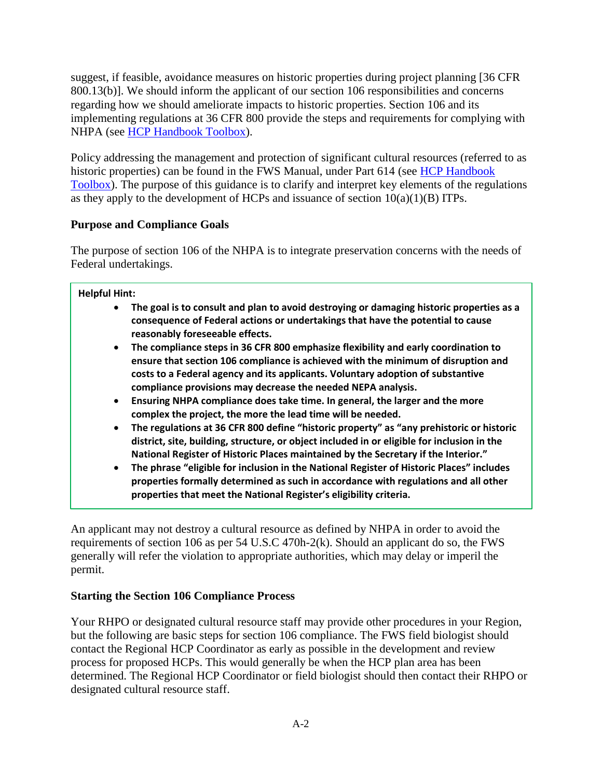suggest, if feasible, avoidance measures on historic properties during project planning [36 CFR 800.13(b)]. We should inform the applicant of our section 106 responsibilities and concerns regarding how we should ameliorate impacts to historic properties. Section 106 and its implementing regulations at 36 CFR 800 provide the steps and requirements for complying with NHPA (see [HCP Handbook Toolbox\)](https://www.fws.gov/endangered/what-we-do/hcp-handbook-toolbox.html).

Policy addressing the management and protection of significant cultural resources (referred to as historic properties) can be found in the FWS Manual, under Part 614 (see HCP Handbook [Toolbox\)](https://www.fws.gov/endangered/what-we-do/hcp-handbook-toolbox.html). The purpose of this guidance is to clarify and interpret key elements of the regulations as they apply to the development of HCPs and issuance of section  $10(a)(1)(B)$  ITPs.

## **Purpose and Compliance Goals**

The purpose of section 106 of the NHPA is to integrate preservation concerns with the needs of Federal undertakings.

#### **Helpful Hint:**

- **The goal is to consult and plan to avoid destroying or damaging historic properties as a consequence of Federal actions or undertakings that have the potential to cause reasonably foreseeable effects.**
- **The compliance steps in 36 CFR 800 emphasize flexibility and early coordination to ensure that section 106 compliance is achieved with the minimum of disruption and costs to a Federal agency and its applicants. Voluntary adoption of substantive compliance provisions may decrease the needed NEPA analysis.**
- **Ensuring NHPA compliance does take time. In general, the larger and the more complex the project, the more the lead time will be needed.**
- **The regulations at 36 CFR 800 define "historic property" as "any prehistoric or historic district, site, building, structure, or object included in or eligible for inclusion in the National Register of Historic Places maintained by the Secretary if the Interior."**
- **The phrase "eligible for inclusion in the National Register of Historic Places" includes properties formally determined as such in accordance with regulations and all other properties that meet the National Register's eligibility criteria.**

An applicant may not destroy a cultural resource as defined by NHPA in order to avoid the requirements of section 106 as per 54 U.S.C 470h-2(k). Should an applicant do so, the FWS generally will refer the violation to appropriate authorities, which may delay or imperil the permit.

## **Starting the Section 106 Compliance Process**

Your RHPO or designated cultural resource staff may provide other procedures in your Region, but the following are basic steps for section 106 compliance. The FWS field biologist should contact the Regional HCP Coordinator as early as possible in the development and review process for proposed HCPs. This would generally be when the HCP plan area has been determined. The Regional HCP Coordinator or field biologist should then contact their RHPO or designated cultural resource staff.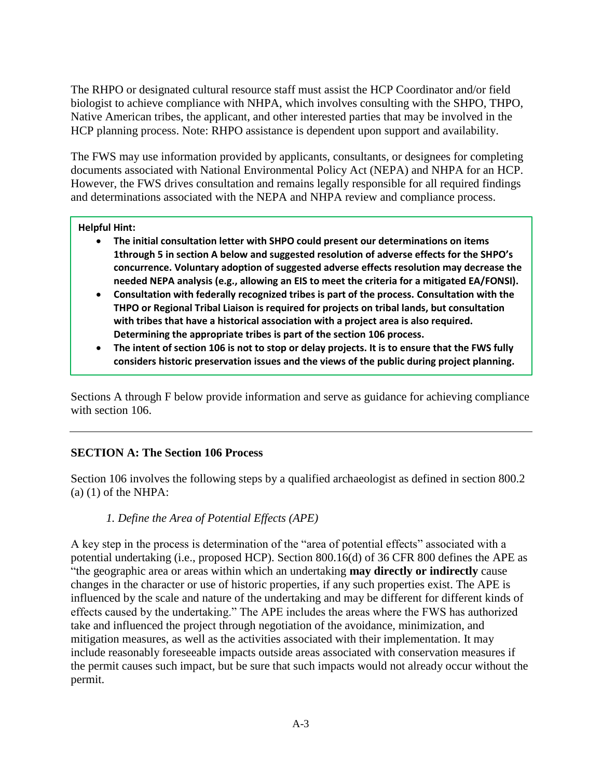The RHPO or designated cultural resource staff must assist the HCP Coordinator and/or field biologist to achieve compliance with NHPA, which involves consulting with the SHPO, THPO, Native American tribes, the applicant, and other interested parties that may be involved in the HCP planning process. Note: RHPO assistance is dependent upon support and availability.

The FWS may use information provided by applicants, consultants, or designees for completing documents associated with National Environmental Policy Act (NEPA) and NHPA for an HCP. However, the FWS drives consultation and remains legally responsible for all required findings and determinations associated with the NEPA and NHPA review and compliance process.

#### **Helpful Hint:**

- **The initial consultation letter with SHPO could present our determinations on items 1through 5 in section A below and suggested resolution of adverse effects for the SHPO's concurrence. Voluntary adoption of suggested adverse effects resolution may decrease the needed NEPA analysis (e.g., allowing an EIS to meet the criteria for a mitigated EA/FONSI).**
- **Consultation with federally recognized tribes is part of the process. Consultation with the THPO or Regional Tribal Liaison is required for projects on tribal lands, but consultation with tribes that have a historical association with a project area is also required. Determining the appropriate tribes is part of the section 106 process.**
- **The intent of section 106 is not to stop or delay projects. It is to ensure that the FWS fully considers historic preservation issues and the views of the public during project planning.**

Sections A through F below provide information and serve as guidance for achieving compliance with section 106.

## **SECTION A: The Section 106 Process**

Section 106 involves the following steps by a qualified archaeologist as defined in section 800.2  $(a)$  (1) of the NHPA:

#### *1. Define the Area of Potential Effects (APE)*

A key step in the process is determination of the "area of potential effects" associated with a potential undertaking (i.e., proposed HCP). Section 800.16(d) of 36 CFR 800 defines the APE as "the geographic area or areas within which an undertaking **may directly or indirectly** cause changes in the character or use of historic properties, if any such properties exist. The APE is influenced by the scale and nature of the undertaking and may be different for different kinds of effects caused by the undertaking." The APE includes the areas where the FWS has authorized take and influenced the project through negotiation of the avoidance, minimization, and mitigation measures, as well as the activities associated with their implementation. It may include reasonably foreseeable impacts outside areas associated with conservation measures if the permit causes such impact, but be sure that such impacts would not already occur without the permit.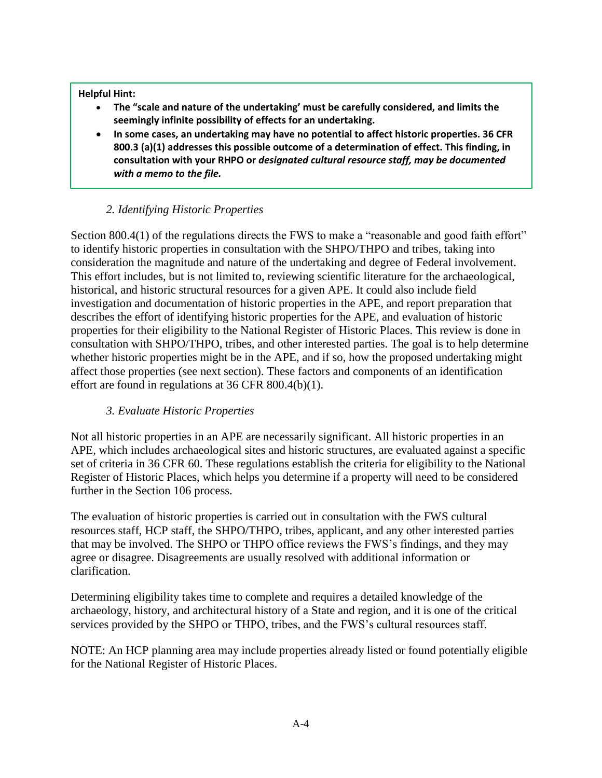#### **Helpful Hint:**

- **The "scale and nature of the undertaking' must be carefully considered, and limits the seemingly infinite possibility of effects for an undertaking.**
- **In some cases, an undertaking may have no potential to affect historic properties. 36 CFR 800.3 (a)(1) addresses this possible outcome of a determination of effect. This finding, in consultation with your RHPO or** *designated cultural resource staff, may be documented with a memo to the file.*

#### *2. Identifying Historic Properties*

Section 800.4(1) of the regulations directs the FWS to make a "reasonable and good faith effort" to identify historic properties in consultation with the SHPO/THPO and tribes, taking into consideration the magnitude and nature of the undertaking and degree of Federal involvement. This effort includes, but is not limited to, reviewing scientific literature for the archaeological, historical, and historic structural resources for a given APE. It could also include field investigation and documentation of historic properties in the APE, and report preparation that describes the effort of identifying historic properties for the APE, and evaluation of historic properties for their eligibility to the National Register of Historic Places. This review is done in consultation with SHPO/THPO, tribes, and other interested parties. The goal is to help determine whether historic properties might be in the APE, and if so, how the proposed undertaking might affect those properties (see next section). These factors and components of an identification effort are found in regulations at 36 CFR 800.4(b)(1).

## *3. Evaluate Historic Properties*

Not all historic properties in an APE are necessarily significant. All historic properties in an APE, which includes archaeological sites and historic structures, are evaluated against a specific set of criteria in 36 CFR 60. These regulations establish the criteria for eligibility to the National Register of Historic Places, which helps you determine if a property will need to be considered further in the Section 106 process.

The evaluation of historic properties is carried out in consultation with the FWS cultural resources staff, HCP staff, the SHPO/THPO, tribes, applicant, and any other interested parties that may be involved. The SHPO or THPO office reviews the FWS's findings, and they may agree or disagree. Disagreements are usually resolved with additional information or clarification.

Determining eligibility takes time to complete and requires a detailed knowledge of the archaeology, history, and architectural history of a State and region, and it is one of the critical services provided by the SHPO or THPO, tribes, and the FWS's cultural resources staff.

NOTE: An HCP planning area may include properties already listed or found potentially eligible for the National Register of Historic Places.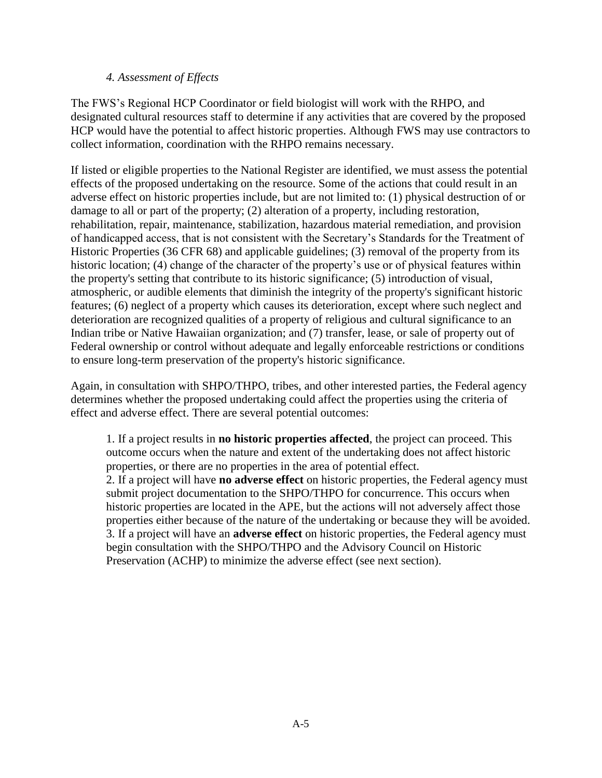#### *4. Assessment of Effects*

The FWS's Regional HCP Coordinator or field biologist will work with the RHPO, and designated cultural resources staff to determine if any activities that are covered by the proposed HCP would have the potential to affect historic properties. Although FWS may use contractors to collect information, coordination with the RHPO remains necessary.

If listed or eligible properties to the National Register are identified, we must assess the potential effects of the proposed undertaking on the resource. Some of the actions that could result in an adverse effect on historic properties include, but are not limited to: (1) physical destruction of or damage to all or part of the property; (2) alteration of a property, including restoration, rehabilitation, repair, maintenance, stabilization, hazardous material remediation, and provision of handicapped access, that is not consistent with the Secretary's Standards for the Treatment of Historic Properties (36 CFR 68) and applicable guidelines; (3) removal of the property from its historic location; (4) change of the character of the property's use or of physical features within the property's setting that contribute to its historic significance; (5) introduction of visual, atmospheric, or audible elements that diminish the integrity of the property's significant historic features; (6) neglect of a property which causes its deterioration, except where such neglect and deterioration are recognized qualities of a property of religious and cultural significance to an Indian tribe or Native Hawaiian organization; and (7) transfer, lease, or sale of property out of Federal ownership or control without adequate and legally enforceable restrictions or conditions to ensure long-term preservation of the property's historic significance.

Again, in consultation with SHPO/THPO, tribes, and other interested parties, the Federal agency determines whether the proposed undertaking could affect the properties using the criteria of effect and adverse effect. There are several potential outcomes:

1. If a project results in **no historic properties affected**, the project can proceed. This outcome occurs when the nature and extent of the undertaking does not affect historic properties, or there are no properties in the area of potential effect. 2. If a project will have **no adverse effect** on historic properties, the Federal agency must submit project documentation to the SHPO/THPO for concurrence. This occurs when historic properties are located in the APE, but the actions will not adversely affect those properties either because of the nature of the undertaking or because they will be avoided. 3. If a project will have an **adverse effect** on historic properties, the Federal agency must begin consultation with the SHPO/THPO and the Advisory Council on Historic Preservation (ACHP) to minimize the adverse effect (see next section).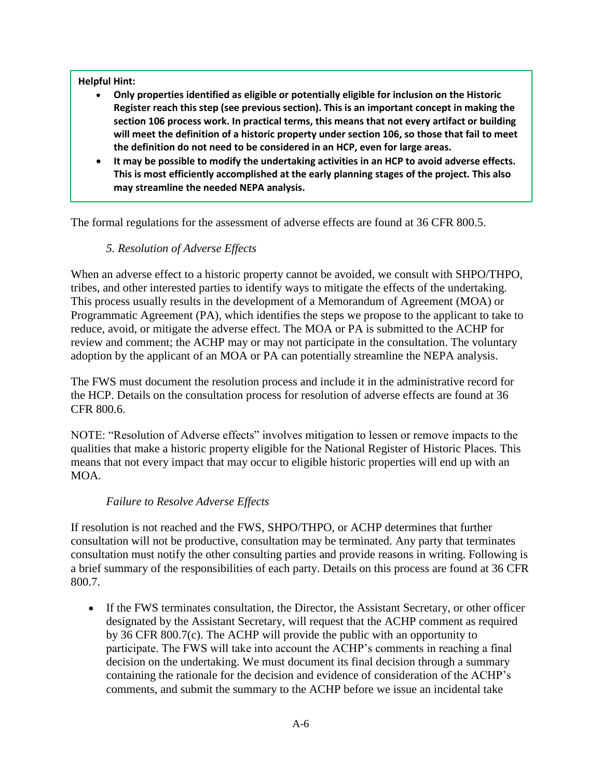#### **Helpful Hint:**

- **Only properties identified as eligible or potentially eligible for inclusion on the Historic Register reach this step (see previous section). This is an important concept in making the section 106 process work. In practical terms, this means that not every artifact or building will meet the definition of a historic property under section 106, so those that fail to meet the definition do not need to be considered in an HCP, even for large areas.**
- **It may be possible to modify the undertaking activities in an HCP to avoid adverse effects. This is most efficiently accomplished at the early planning stages of the project. This also may streamline the needed NEPA analysis.**

The formal regulations for the assessment of adverse effects are found at 36 CFR 800.5.

## *5. Resolution of Adverse Effects*

When an adverse effect to a historic property cannot be avoided, we consult with SHPO/THPO, tribes, and other interested parties to identify ways to mitigate the effects of the undertaking. This process usually results in the development of a Memorandum of Agreement (MOA) or Programmatic Agreement (PA), which identifies the steps we propose to the applicant to take to reduce, avoid, or mitigate the adverse effect. The MOA or PA is submitted to the ACHP for review and comment; the ACHP may or may not participate in the consultation. The voluntary adoption by the applicant of an MOA or PA can potentially streamline the NEPA analysis.

The FWS must document the resolution process and include it in the administrative record for the HCP. Details on the consultation process for resolution of adverse effects are found at 36 CFR 800.6.

NOTE: "Resolution of Adverse effects" involves mitigation to lessen or remove impacts to the qualities that make a historic property eligible for the National Register of Historic Places. This means that not every impact that may occur to eligible historic properties will end up with an MOA.

#### *Failure to Resolve Adverse Effects*

If resolution is not reached and the FWS, SHPO/THPO, or ACHP determines that further consultation will not be productive, consultation may be terminated. Any party that terminates consultation must notify the other consulting parties and provide reasons in writing. Following is a brief summary of the responsibilities of each party. Details on this process are found at 36 CFR 800.7.

 If the FWS terminates consultation, the Director, the Assistant Secretary, or other officer designated by the Assistant Secretary, will request that the ACHP comment as required by 36 CFR 800.7(c). The ACHP will provide the public with an opportunity to participate. The FWS will take into account the ACHP's comments in reaching a final decision on the undertaking. We must document its final decision through a summary containing the rationale for the decision and evidence of consideration of the ACHP's comments, and submit the summary to the ACHP before we issue an incidental take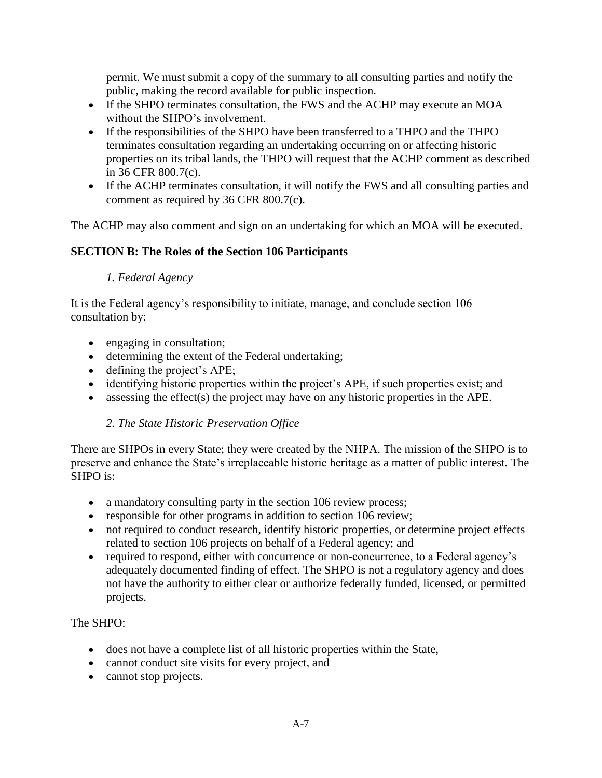permit. We must submit a copy of the summary to all consulting parties and notify the public, making the record available for public inspection.

- If the SHPO terminates consultation, the FWS and the ACHP may execute an MOA without the SHPO's involvement.
- If the responsibilities of the SHPO have been transferred to a THPO and the THPO terminates consultation regarding an undertaking occurring on or affecting historic properties on its tribal lands, the THPO will request that the ACHP comment as described in 36 CFR 800.7(c).
- If the ACHP terminates consultation, it will notify the FWS and all consulting parties and comment as required by 36 CFR 800.7(c).

The ACHP may also comment and sign on an undertaking for which an MOA will be executed.

## **SECTION B: The Roles of the Section 106 Participants**

## *1. Federal Agency*

It is the Federal agency's responsibility to initiate, manage, and conclude section 106 consultation by:

- engaging in consultation;
- determining the extent of the Federal undertaking;
- defining the project's APE;
- identifying historic properties within the project's APE, if such properties exist; and
- assessing the effect(s) the project may have on any historic properties in the APE.

## *2. The State Historic Preservation Office*

There are SHPOs in every State; they were created by the NHPA. The mission of the SHPO is to preserve and enhance the State's irreplaceable historic heritage as a matter of public interest. The SHPO is:

- a mandatory consulting party in the section 106 review process;
- responsible for other programs in addition to section 106 review;
- not required to conduct research, identify historic properties, or determine project effects related to section 106 projects on behalf of a Federal agency; and
- required to respond, either with concurrence or non-concurrence, to a Federal agency's adequately documented finding of effect. The SHPO is not a regulatory agency and does not have the authority to either clear or authorize federally funded, licensed, or permitted projects.

## The SHPO:

- does not have a complete list of all historic properties within the State,
- cannot conduct site visits for every project, and
- cannot stop projects.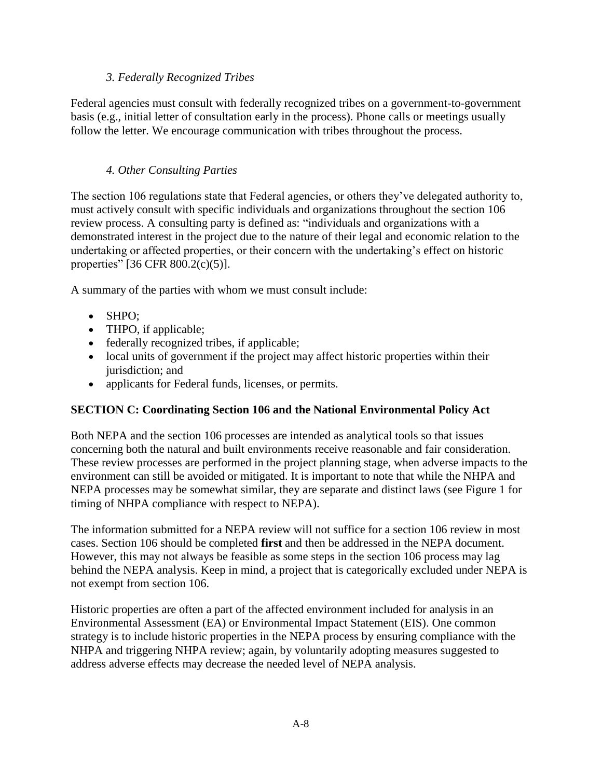## *3. Federally Recognized Tribes*

Federal agencies must consult with federally recognized tribes on a government-to-government basis (e.g., initial letter of consultation early in the process). Phone calls or meetings usually follow the letter. We encourage communication with tribes throughout the process.

## *4. Other Consulting Parties*

The section 106 regulations state that Federal agencies, or others they've delegated authority to, must actively consult with specific individuals and organizations throughout the section 106 review process. A consulting party is defined as: "individuals and organizations with a demonstrated interest in the project due to the nature of their legal and economic relation to the undertaking or affected properties, or their concern with the undertaking's effect on historic properties" [36 CFR 800.2(c)(5)].

A summary of the parties with whom we must consult include:

- SHPO:
- THPO, if applicable;
- federally recognized tribes, if applicable;
- local units of government if the project may affect historic properties within their jurisdiction; and
- applicants for Federal funds, licenses, or permits.

## **SECTION C: Coordinating Section 106 and the National Environmental Policy Act**

Both NEPA and the section 106 processes are intended as analytical tools so that issues concerning both the natural and built environments receive reasonable and fair consideration. These review processes are performed in the project planning stage, when adverse impacts to the environment can still be avoided or mitigated. It is important to note that while the NHPA and NEPA processes may be somewhat similar, they are separate and distinct laws (see Figure 1 for timing of NHPA compliance with respect to NEPA).

The information submitted for a NEPA review will not suffice for a section 106 review in most cases. Section 106 should be completed **first** and then be addressed in the NEPA document. However, this may not always be feasible as some steps in the section 106 process may lag behind the NEPA analysis. Keep in mind, a project that is categorically excluded under NEPA is not exempt from section 106.

Historic properties are often a part of the affected environment included for analysis in an Environmental Assessment (EA) or Environmental Impact Statement (EIS). One common strategy is to include historic properties in the NEPA process by ensuring compliance with the NHPA and triggering NHPA review; again, by voluntarily adopting measures suggested to address adverse effects may decrease the needed level of NEPA analysis.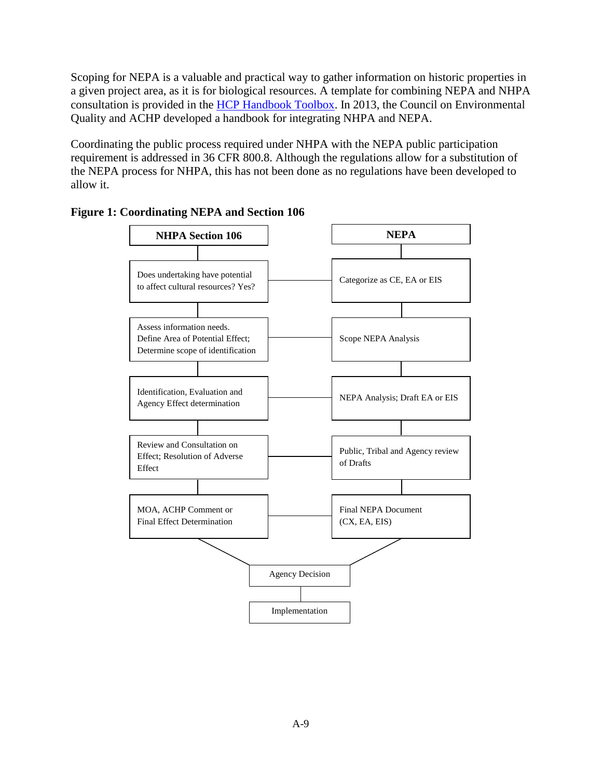Scoping for NEPA is a valuable and practical way to gather information on historic properties in a given project area, as it is for biological resources. A template for combining NEPA and NHPA consultation is provided in the [HCP Handbook Toolbox.](https://www.fws.gov/endangered/what-we-do/hcp-handbook-toolbox.html) In 2013, the Council on Environmental Quality and ACHP developed a handbook for integrating NHPA and NEPA.

Coordinating the public process required under NHPA with the NEPA public participation requirement is addressed in 36 CFR 800.8. Although the regulations allow for a substitution of the NEPA process for NHPA, this has not been done as no regulations have been developed to allow it.



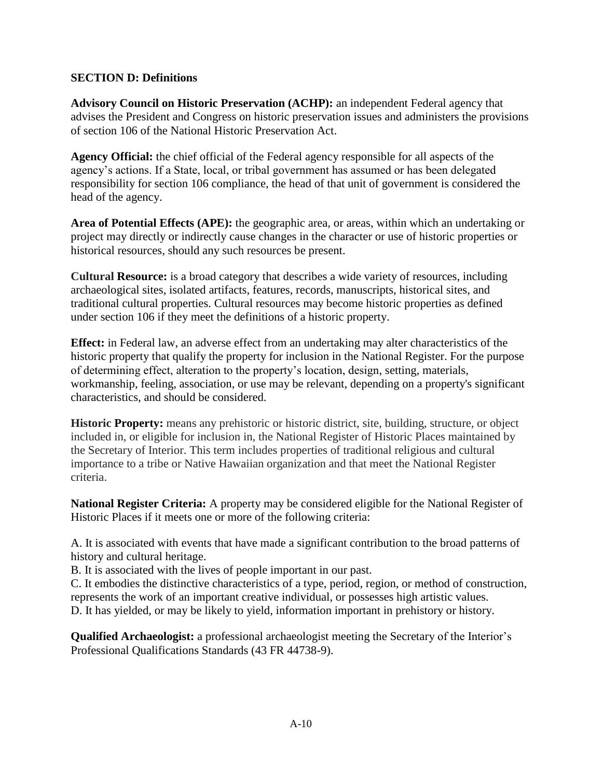## **SECTION D: Definitions**

**Advisory Council on Historic Preservation (ACHP):** an independent Federal agency that advises the President and Congress on historic preservation issues and administers the provisions of section 106 of the National Historic Preservation Act.

**Agency Official:** the chief official of the Federal agency responsible for all aspects of the agency's actions. If a State, local, or tribal government has assumed or has been delegated responsibility for section 106 compliance, the head of that unit of government is considered the head of the agency.

**Area of Potential Effects (APE):** the geographic area, or areas, within which an undertaking or project may directly or indirectly cause changes in the character or use of historic properties or historical resources, should any such resources be present.

**Cultural Resource:** is a broad category that describes a wide variety of resources, including archaeological sites, isolated artifacts, features, records, manuscripts, historical sites, and traditional cultural properties. Cultural resources may become historic properties as defined under section 106 if they meet the definitions of a historic property.

**Effect:** in Federal law, an adverse effect from an undertaking may alter characteristics of the historic property that qualify the property for inclusion in the National Register. For the purpose of determining effect, alteration to the property's location, design, setting, materials, workmanship, feeling, association, or use may be relevant, depending on a property's significant characteristics, and should be considered.

**Historic Property:** means any prehistoric or historic district, site, building, structure, or object included in, or eligible for inclusion in, the National Register of Historic Places maintained by the Secretary of Interior. This term includes properties of traditional religious and cultural importance to a tribe or Native Hawaiian organization and that meet the National Register criteria.

**National Register Criteria:** A property may be considered eligible for the National Register of Historic Places if it meets one or more of the following criteria:

A. It is associated with events that have made a significant contribution to the broad patterns of history and cultural heritage.

B. It is associated with the lives of people important in our past.

C. It embodies the distinctive characteristics of a type, period, region, or method of construction, represents the work of an important creative individual, or possesses high artistic values. D. It has yielded, or may be likely to yield, information important in prehistory or history.

**Qualified Archaeologist:** a professional archaeologist meeting the Secretary of the Interior's Professional Qualifications Standards (43 FR 44738-9).